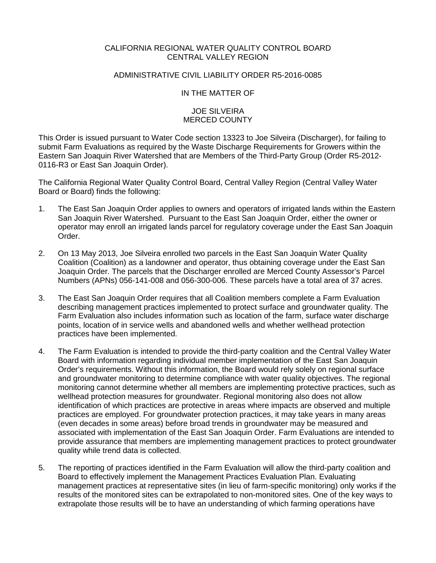# CALIFORNIA REGIONAL WATER QUALITY CONTROL BOARD CENTRAL VALLEY REGION

# ADMINISTRATIVE CIVIL LIABILITY ORDER R5-2016-0085

IN THE MATTER OF

### JOE SILVEIRA MERCED COUNTY

This Order is issued pursuant to Water Code section 13323 to Joe Silveira (Discharger), for failing to submit Farm Evaluations as required by the Waste Discharge Requirements for Growers within the Eastern San Joaquin River Watershed that are Members of the Third-Party Group (Order R5-2012- 0116-R3 or East San Joaquin Order).

The California Regional Water Quality Control Board, Central Valley Region (Central Valley Water Board or Board) finds the following:

- 1. The East San Joaquin Order applies to owners and operators of irrigated lands within the Eastern San Joaquin River Watershed. Pursuant to the East San Joaquin Order, either the owner or operator may enroll an irrigated lands parcel for regulatory coverage under the East San Joaquin Order.
- 2. On 13 May 2013, Joe Silveira enrolled two parcels in the East San Joaquin Water Quality Coalition (Coalition) as a landowner and operator, thus obtaining coverage under the East San Joaquin Order. The parcels that the Discharger enrolled are Merced County Assessor's Parcel Numbers (APNs) 056-141-008 and 056-300-006. These parcels have a total area of 37 acres.
- 3. The East San Joaquin Order requires that all Coalition members complete a Farm Evaluation describing management practices implemented to protect surface and groundwater quality. The Farm Evaluation also includes information such as location of the farm, surface water discharge points, location of in service wells and abandoned wells and whether wellhead protection practices have been implemented.
- 4. The Farm Evaluation is intended to provide the third-party coalition and the Central Valley Water Board with information regarding individual member implementation of the East San Joaquin Order's requirements. Without this information, the Board would rely solely on regional surface and groundwater monitoring to determine compliance with water quality objectives. The regional monitoring cannot determine whether all members are implementing protective practices, such as wellhead protection measures for groundwater. Regional monitoring also does not allow identification of which practices are protective in areas where impacts are observed and multiple practices are employed. For groundwater protection practices, it may take years in many areas (even decades in some areas) before broad trends in groundwater may be measured and associated with implementation of the East San Joaquin Order. Farm Evaluations are intended to provide assurance that members are implementing management practices to protect groundwater quality while trend data is collected.
- 5. The reporting of practices identified in the Farm Evaluation will allow the third-party coalition and Board to effectively implement the Management Practices Evaluation Plan. Evaluating management practices at representative sites (in lieu of farm-specific monitoring) only works if the results of the monitored sites can be extrapolated to non-monitored sites. One of the key ways to extrapolate those results will be to have an understanding of which farming operations have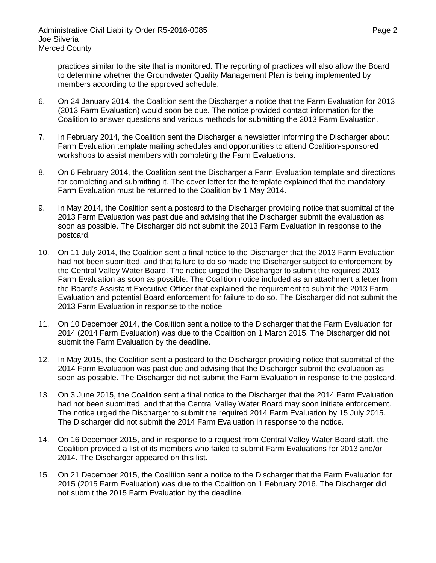practices similar to the site that is monitored. The reporting of practices will also allow the Board to determine whether the Groundwater Quality Management Plan is being implemented by members according to the approved schedule.

- 6. On 24 January 2014, the Coalition sent the Discharger a notice that the Farm Evaluation for 2013 (2013 Farm Evaluation) would soon be due. The notice provided contact information for the Coalition to answer questions and various methods for submitting the 2013 Farm Evaluation.
- 7. In February 2014, the Coalition sent the Discharger a newsletter informing the Discharger about Farm Evaluation template mailing schedules and opportunities to attend Coalition-sponsored workshops to assist members with completing the Farm Evaluations.
- 8. On 6 February 2014, the Coalition sent the Discharger a Farm Evaluation template and directions for completing and submitting it. The cover letter for the template explained that the mandatory Farm Evaluation must be returned to the Coalition by 1 May 2014.
- 9. In May 2014, the Coalition sent a postcard to the Discharger providing notice that submittal of the 2013 Farm Evaluation was past due and advising that the Discharger submit the evaluation as soon as possible. The Discharger did not submit the 2013 Farm Evaluation in response to the postcard.
- 10. On 11 July 2014, the Coalition sent a final notice to the Discharger that the 2013 Farm Evaluation had not been submitted, and that failure to do so made the Discharger subject to enforcement by the Central Valley Water Board. The notice urged the Discharger to submit the required 2013 Farm Evaluation as soon as possible. The Coalition notice included as an attachment a letter from the Board's Assistant Executive Officer that explained the requirement to submit the 2013 Farm Evaluation and potential Board enforcement for failure to do so. The Discharger did not submit the 2013 Farm Evaluation in response to the notice
- 11. On 10 December 2014, the Coalition sent a notice to the Discharger that the Farm Evaluation for 2014 (2014 Farm Evaluation) was due to the Coalition on 1 March 2015. The Discharger did not submit the Farm Evaluation by the deadline.
- 12. In May 2015, the Coalition sent a postcard to the Discharger providing notice that submittal of the 2014 Farm Evaluation was past due and advising that the Discharger submit the evaluation as soon as possible. The Discharger did not submit the Farm Evaluation in response to the postcard.
- 13. On 3 June 2015, the Coalition sent a final notice to the Discharger that the 2014 Farm Evaluation had not been submitted, and that the Central Valley Water Board may soon initiate enforcement. The notice urged the Discharger to submit the required 2014 Farm Evaluation by 15 July 2015. The Discharger did not submit the 2014 Farm Evaluation in response to the notice.
- 14. On 16 December 2015, and in response to a request from Central Valley Water Board staff, the Coalition provided a list of its members who failed to submit Farm Evaluations for 2013 and/or 2014. The Discharger appeared on this list.
- 15. On 21 December 2015, the Coalition sent a notice to the Discharger that the Farm Evaluation for 2015 (2015 Farm Evaluation) was due to the Coalition on 1 February 2016. The Discharger did not submit the 2015 Farm Evaluation by the deadline.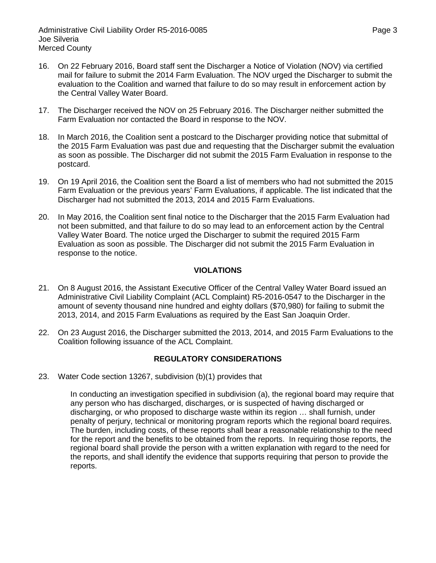- 16. On 22 February 2016, Board staff sent the Discharger a Notice of Violation (NOV) via certified mail for failure to submit the 2014 Farm Evaluation. The NOV urged the Discharger to submit the evaluation to the Coalition and warned that failure to do so may result in enforcement action by the Central Valley Water Board.
- 17. The Discharger received the NOV on 25 February 2016. The Discharger neither submitted the Farm Evaluation nor contacted the Board in response to the NOV.
- 18. In March 2016, the Coalition sent a postcard to the Discharger providing notice that submittal of the 2015 Farm Evaluation was past due and requesting that the Discharger submit the evaluation as soon as possible. The Discharger did not submit the 2015 Farm Evaluation in response to the postcard.
- 19. On 19 April 2016, the Coalition sent the Board a list of members who had not submitted the 2015 Farm Evaluation or the previous years' Farm Evaluations, if applicable. The list indicated that the Discharger had not submitted the 2013, 2014 and 2015 Farm Evaluations.
- 20. In May 2016, the Coalition sent final notice to the Discharger that the 2015 Farm Evaluation had not been submitted, and that failure to do so may lead to an enforcement action by the Central Valley Water Board. The notice urged the Discharger to submit the required 2015 Farm Evaluation as soon as possible. The Discharger did not submit the 2015 Farm Evaluation in response to the notice.

# **VIOLATIONS**

- 21. On 8 August 2016, the Assistant Executive Officer of the Central Valley Water Board issued an Administrative Civil Liability Complaint (ACL Complaint) R5-2016-0547 to the Discharger in the amount of seventy thousand nine hundred and eighty dollars (\$70,980) for failing to submit the 2013, 2014, and 2015 Farm Evaluations as required by the East San Joaquin Order.
- 22. On 23 August 2016, the Discharger submitted the 2013, 2014, and 2015 Farm Evaluations to the Coalition following issuance of the ACL Complaint.

# **REGULATORY CONSIDERATIONS**

23. Water Code section 13267, subdivision (b)(1) provides that

In conducting an investigation specified in subdivision (a), the regional board may require that any person who has discharged, discharges, or is suspected of having discharged or discharging, or who proposed to discharge waste within its region … shall furnish, under penalty of perjury, technical or monitoring program reports which the regional board requires. The burden, including costs, of these reports shall bear a reasonable relationship to the need for the report and the benefits to be obtained from the reports. In requiring those reports, the regional board shall provide the person with a written explanation with regard to the need for the reports, and shall identify the evidence that supports requiring that person to provide the reports.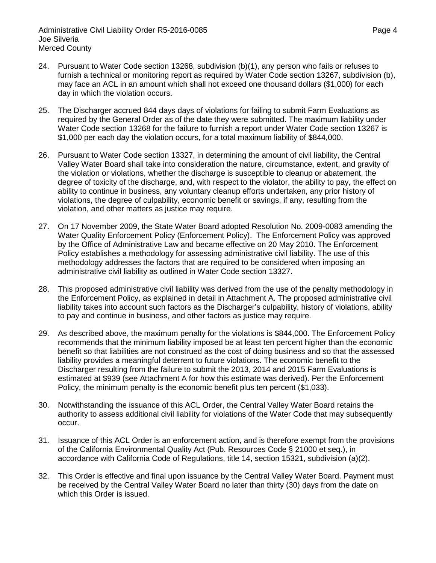- 24. Pursuant to Water Code section 13268, subdivision (b)(1), any person who fails or refuses to furnish a technical or monitoring report as required by Water Code section 13267, subdivision (b), may face an ACL in an amount which shall not exceed one thousand dollars (\$1,000) for each day in which the violation occurs.
- 25. The Discharger accrued 844 days days of violations for failing to submit Farm Evaluations as required by the General Order as of the date they were submitted. The maximum liability under Water Code section 13268 for the failure to furnish a report under Water Code section 13267 is \$1,000 per each day the violation occurs, for a total maximum liability of \$844,000.
- 26. Pursuant to Water Code section 13327, in determining the amount of civil liability, the Central Valley Water Board shall take into consideration the nature, circumstance, extent, and gravity of the violation or violations, whether the discharge is susceptible to cleanup or abatement, the degree of toxicity of the discharge, and, with respect to the violator, the ability to pay, the effect on ability to continue in business, any voluntary cleanup efforts undertaken, any prior history of violations, the degree of culpability, economic benefit or savings, if any, resulting from the violation, and other matters as justice may require.
- 27. On 17 November 2009, the State Water Board adopted Resolution No. 2009-0083 amending the Water Quality Enforcement Policy (Enforcement Policy). The Enforcement Policy was approved by the Office of Administrative Law and became effective on 20 May 2010. The Enforcement Policy establishes a methodology for assessing administrative civil liability. The use of this methodology addresses the factors that are required to be considered when imposing an administrative civil liability as outlined in Water Code section 13327.
- 28. This proposed administrative civil liability was derived from the use of the penalty methodology in the Enforcement Policy, as explained in detail in Attachment A. The proposed administrative civil liability takes into account such factors as the Discharger's culpability, history of violations, ability to pay and continue in business, and other factors as justice may require.
- 29. As described above, the maximum penalty for the violations is \$844,000. The Enforcement Policy recommends that the minimum liability imposed be at least ten percent higher than the economic benefit so that liabilities are not construed as the cost of doing business and so that the assessed liability provides a meaningful deterrent to future violations. The economic benefit to the Discharger resulting from the failure to submit the 2013, 2014 and 2015 Farm Evaluations is estimated at \$939 (see Attachment A for how this estimate was derived). Per the Enforcement Policy, the minimum penalty is the economic benefit plus ten percent (\$1,033).
- 30. Notwithstanding the issuance of this ACL Order, the Central Valley Water Board retains the authority to assess additional civil liability for violations of the Water Code that may subsequently occur.
- 31. Issuance of this ACL Order is an enforcement action, and is therefore exempt from the provisions of the California Environmental Quality Act (Pub. Resources Code § 21000 et seq.), in accordance with California Code of Regulations, title 14, section 15321, subdivision (a)(2).
- 32. This Order is effective and final upon issuance by the Central Valley Water Board. Payment must be received by the Central Valley Water Board no later than thirty (30) days from the date on which this Order is issued.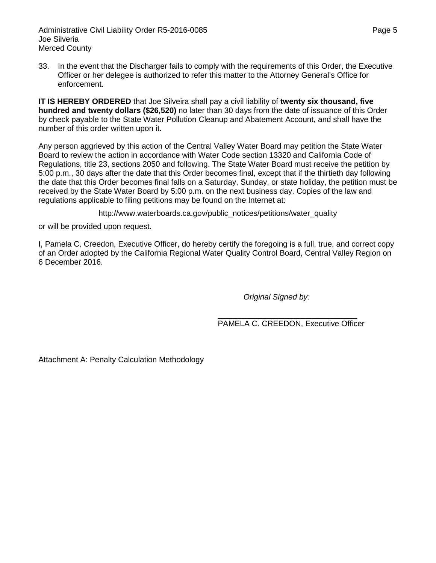Administrative Civil Liability Order R5-2016-0085 **Page 5** Page 5 Joe Silveria Merced County

33. In the event that the Discharger fails to comply with the requirements of this Order, the Executive Officer or her delegee is authorized to refer this matter to the Attorney General's Office for enforcement.

**IT IS HEREBY ORDERED** that Joe Silveira shall pay a civil liability of **twenty six thousand, five hundred and twenty dollars (\$26,520)** no later than 30 days from the date of issuance of this Order by check payable to the State Water Pollution Cleanup and Abatement Account, and shall have the number of this order written upon it.

Any person aggrieved by this action of the Central Valley Water Board may petition the State Water Board to review the action in accordance with Water Code section 13320 and California Code of Regulations, title 23, sections 2050 and following. The State Water Board must receive the petition by 5:00 p.m., 30 days after the date that this Order becomes final, except that if the thirtieth day following the date that this Order becomes final falls on a Saturday, Sunday, or state holiday, the petition must be received by the State Water Board by 5:00 p.m. on the next business day. Copies of the law and regulations applicable to filing petitions may be found on the Internet at:

http://www.waterboards.ca.gov/public\_notices/petitions/water\_quality

or will be provided upon request.

I, Pamela C. Creedon, Executive Officer, do hereby certify the foregoing is a full, true, and correct copy of an Order adopted by the California Regional Water Quality Control Board, Central Valley Region on 6 December 2016.

*Original Signed by:*

\_\_\_\_\_\_\_\_\_\_\_\_\_\_\_\_\_\_\_\_\_\_\_\_\_\_\_\_\_\_\_\_ PAMELA C. CREEDON, Executive Officer

Attachment A: Penalty Calculation Methodology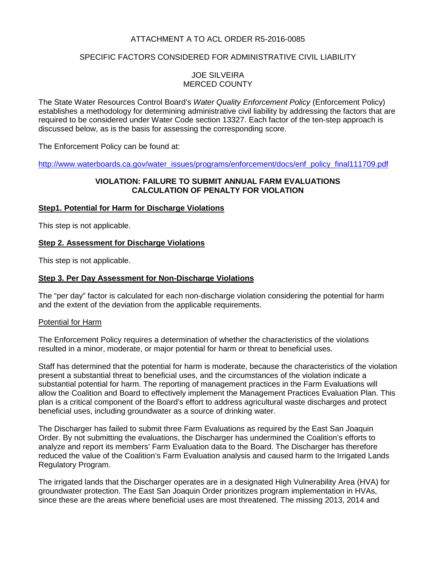# ATTACHMENT A TO ACL ORDER R5-2016-0085

# SPECIFIC FACTORS CONSIDERED FOR ADMINISTRATIVE CIVIL LIABILITY

# JOE SILVEIRA MERCED COUNTY

The State Water Resources Control Board's *Water Quality Enforcement Policy* (Enforcement Policy) establishes a methodology for determining administrative civil liability by addressing the factors that are required to be considered under Water Code section 13327. Each factor of the ten-step approach is discussed below, as is the basis for assessing the corresponding score.

The Enforcement Policy can be found at:

[http://www.waterboards.ca.gov/water\\_issues/programs/enforcement/docs/enf\\_policy\\_final111709.pdf](http://www.waterboards.ca.gov/water_issues/programs/enforcement/docs/enf_policy_final111709.pdf)

## **VIOLATION: FAILURE TO SUBMIT ANNUAL FARM EVALUATIONS CALCULATION OF PENALTY FOR VIOLATION**

# **Step1. Potential for Harm for Discharge Violations**

This step is not applicable.

### **Step 2. Assessment for Discharge Violations**

This step is not applicable.

### **Step 3. Per Day Assessment for Non-Discharge Violations**

The "per day" factor is calculated for each non-discharge violation considering the potential for harm and the extent of the deviation from the applicable requirements.

#### Potential for Harm

The Enforcement Policy requires a determination of whether the characteristics of the violations resulted in a minor, moderate, or major potential for harm or threat to beneficial uses.

Staff has determined that the potential for harm is moderate, because the characteristics of the violation present a substantial threat to beneficial uses, and the circumstances of the violation indicate a substantial potential for harm. The reporting of management practices in the Farm Evaluations will allow the Coalition and Board to effectively implement the Management Practices Evaluation Plan. This plan is a critical component of the Board's effort to address agricultural waste discharges and protect beneficial uses, including groundwater as a source of drinking water.

The Discharger has failed to submit three Farm Evaluations as required by the East San Joaquin Order. By not submitting the evaluations, the Discharger has undermined the Coalition's efforts to analyze and report its members' Farm Evaluation data to the Board. The Discharger has therefore reduced the value of the Coalition's Farm Evaluation analysis and caused harm to the Irrigated Lands Regulatory Program.

The irrigated lands that the Discharger operates are in a designated High Vulnerability Area (HVA) for groundwater protection. The East San Joaquin Order prioritizes program implementation in HVAs, since these are the areas where beneficial uses are most threatened. The missing 2013, 2014 and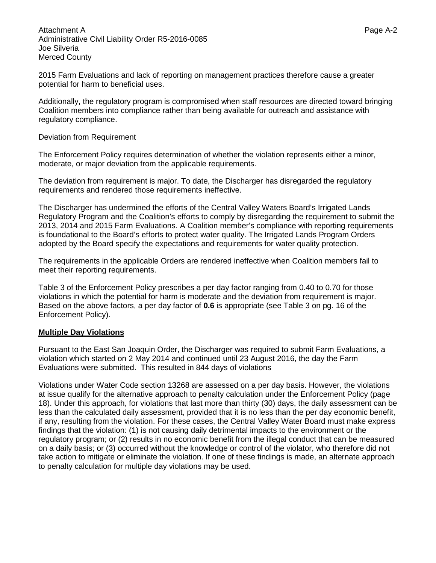Attachment A Page A-2 Administrative Civil Liability Order R5-2016-0085 Joe Silveria Merced County

2015 Farm Evaluations and lack of reporting on management practices therefore cause a greater potential for harm to beneficial uses.

Additionally, the regulatory program is compromised when staff resources are directed toward bringing Coalition members into compliance rather than being available for outreach and assistance with regulatory compliance.

#### Deviation from Requirement

The Enforcement Policy requires determination of whether the violation represents either a minor, moderate, or major deviation from the applicable requirements.

The deviation from requirement is major. To date, the Discharger has disregarded the regulatory requirements and rendered those requirements ineffective.

The Discharger has undermined the efforts of the Central Valley Waters Board's Irrigated Lands Regulatory Program and the Coalition's efforts to comply by disregarding the requirement to submit the 2013, 2014 and 2015 Farm Evaluations. A Coalition member's compliance with reporting requirements is foundational to the Board's efforts to protect water quality. The Irrigated Lands Program Orders adopted by the Board specify the expectations and requirements for water quality protection.

The requirements in the applicable Orders are rendered ineffective when Coalition members fail to meet their reporting requirements.

Table 3 of the Enforcement Policy prescribes a per day factor ranging from 0.40 to 0.70 for those violations in which the potential for harm is moderate and the deviation from requirement is major. Based on the above factors, a per day factor of **0.6** is appropriate (see Table 3 on pg. 16 of the Enforcement Policy).

#### **Multiple Day Violations**

Pursuant to the East San Joaquin Order, the Discharger was required to submit Farm Evaluations, a violation which started on 2 May 2014 and continued until 23 August 2016, the day the Farm Evaluations were submitted. This resulted in 844 days of violations

Violations under Water Code section 13268 are assessed on a per day basis. However, the violations at issue qualify for the alternative approach to penalty calculation under the Enforcement Policy (page 18). Under this approach, for violations that last more than thirty (30) days, the daily assessment can be less than the calculated daily assessment, provided that it is no less than the per day economic benefit, if any, resulting from the violation. For these cases, the Central Valley Water Board must make express findings that the violation: (1) is not causing daily detrimental impacts to the environment or the regulatory program; or (2) results in no economic benefit from the illegal conduct that can be measured on a daily basis; or (3) occurred without the knowledge or control of the violator, who therefore did not take action to mitigate or eliminate the violation. If one of these findings is made, an alternate approach to penalty calculation for multiple day violations may be used.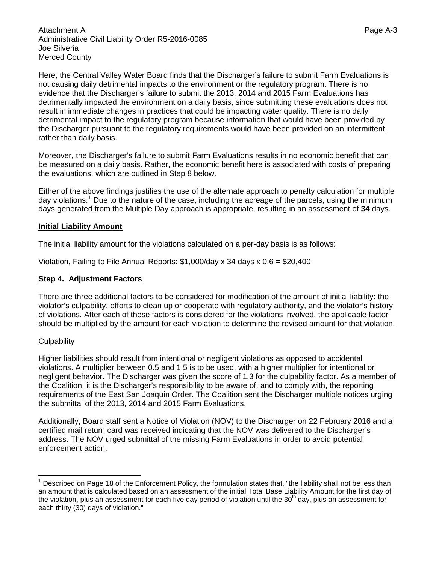Attachment A Page A-3 Administrative Civil Liability Order R5-2016-0085 Joe Silveria Merced County

Here, the Central Valley Water Board finds that the Discharger's failure to submit Farm Evaluations is not causing daily detrimental impacts to the environment or the regulatory program. There is no evidence that the Discharger's failure to submit the 2013, 2014 and 2015 Farm Evaluations has detrimentally impacted the environment on a daily basis, since submitting these evaluations does not result in immediate changes in practices that could be impacting water quality. There is no daily detrimental impact to the regulatory program because information that would have been provided by the Discharger pursuant to the regulatory requirements would have been provided on an intermittent, rather than daily basis.

Moreover, the Discharger's failure to submit Farm Evaluations results in no economic benefit that can be measured on a daily basis. Rather, the economic benefit here is associated with costs of preparing the evaluations, which are outlined in Step 8 below.

Either of the above findings justifies the use of the alternate approach to penalty calculation for multiple day violations.<sup>[1](#page-7-0)</sup> Due to the nature of the case, including the acreage of the parcels, using the minimum days generated from the Multiple Day approach is appropriate, resulting in an assessment of **34** days.

#### **Initial Liability Amount**

The initial liability amount for the violations calculated on a per-day basis is as follows:

Violation, Failing to File Annual Reports: \$1,000/day x 34 days x 0.6 = \$20,400

## **Step 4. Adjustment Factors**

There are three additional factors to be considered for modification of the amount of initial liability: the violator's culpability, efforts to clean up or cooperate with regulatory authority, and the violator's history of violations. After each of these factors is considered for the violations involved, the applicable factor should be multiplied by the amount for each violation to determine the revised amount for that violation.

#### **Culpability**

Higher liabilities should result from intentional or negligent violations as opposed to accidental violations. A multiplier between 0.5 and 1.5 is to be used, with a higher multiplier for intentional or negligent behavior. The Discharger was given the score of 1.3 for the culpability factor. As a member of the Coalition, it is the Discharger's responsibility to be aware of, and to comply with, the reporting requirements of the East San Joaquin Order. The Coalition sent the Discharger multiple notices urging the submittal of the 2013, 2014 and 2015 Farm Evaluations.

Additionally, Board staff sent a Notice of Violation (NOV) to the Discharger on 22 February 2016 and a certified mail return card was received indicating that the NOV was delivered to the Discharger's address. The NOV urged submittal of the missing Farm Evaluations in order to avoid potential enforcement action.

<span id="page-7-0"></span>Described on Page 18 of the Enforcement Policy, the formulation states that, "the liability shall not be less than an amount that is calculated based on an assessment of the initial Total Base Liability Amount for the first day of the violation, plus an assessment for each five day period of violation until the  $30<sup>th</sup>$  day, plus an assessment for each thirty (30) days of violation."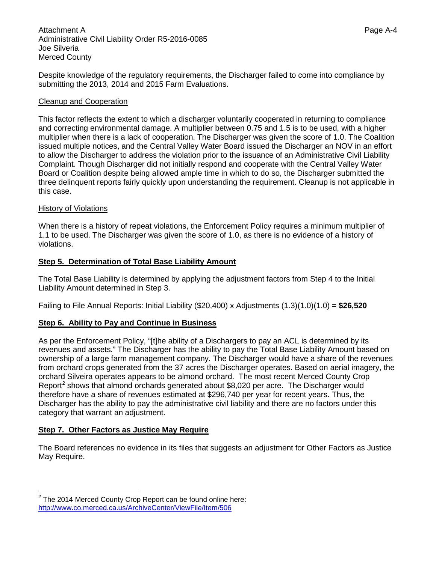Despite knowledge of the regulatory requirements, the Discharger failed to come into compliance by submitting the 2013, 2014 and 2015 Farm Evaluations.

# Cleanup and Cooperation

This factor reflects the extent to which a discharger voluntarily cooperated in returning to compliance and correcting environmental damage. A multiplier between 0.75 and 1.5 is to be used, with a higher multiplier when there is a lack of cooperation. The Discharger was given the score of 1.0. The Coalition issued multiple notices, and the Central Valley Water Board issued the Discharger an NOV in an effort to allow the Discharger to address the violation prior to the issuance of an Administrative Civil Liability Complaint. Though Discharger did not initially respond and cooperate with the Central Valley Water Board or Coalition despite being allowed ample time in which to do so, the Discharger submitted the three delinquent reports fairly quickly upon understanding the requirement. Cleanup is not applicable in this case.

### History of Violations

When there is a history of repeat violations, the Enforcement Policy requires a minimum multiplier of 1.1 to be used. The Discharger was given the score of 1.0, as there is no evidence of a history of violations.

### **Step 5. Determination of Total Base Liability Amount**

The Total Base Liability is determined by applying the adjustment factors from Step 4 to the Initial Liability Amount determined in Step 3.

Failing to File Annual Reports: Initial Liability (\$20,400) x Adjustments (1.3)(1.0)(1.0) = **\$26,520**

# **Step 6. Ability to Pay and Continue in Business**

As per the Enforcement Policy, "[t]he ability of a Dischargers to pay an ACL is determined by its revenues and assets." The Discharger has the ability to pay the Total Base Liability Amount based on ownership of a large farm management company. The Discharger would have a share of the revenues from orchard crops generated from the 37 acres the Discharger operates. Based on aerial imagery, the orchard Silveira operates appears to be almond orchard. The most recent Merced County Crop Report<sup>[2](#page-8-0)</sup> shows that almond orchards generated about \$8,020 per acre. The Discharger would therefore have a share of revenues estimated at \$296,740 per year for recent years. Thus, the Discharger has the ability to pay the administrative civil liability and there are no factors under this category that warrant an adjustment.

# **Step 7. Other Factors as Justice May Require**

The Board references no evidence in its files that suggests an adjustment for Other Factors as Justice May Require.

<span id="page-8-0"></span> $2$  The 2014 Merced County Crop Report can be found online here: <http://www.co.merced.ca.us/ArchiveCenter/ViewFile/Item/506>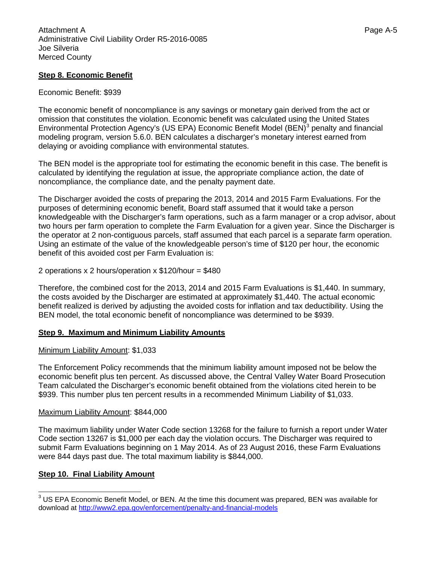# **Step 8. Economic Benefit**

## Economic Benefit: \$939

The economic benefit of noncompliance is any savings or monetary gain derived from the act or omission that constitutes the violation. Economic benefit was calculated using the United States Environmental Protection Agency's (US EPA) Economic Benefit Model (BEN)<sup>[3](#page-9-0)</sup> penalty and financial modeling program, version 5.6.0. BEN calculates a discharger's monetary interest earned from delaying or avoiding compliance with environmental statutes.

The BEN model is the appropriate tool for estimating the economic benefit in this case. The benefit is calculated by identifying the regulation at issue, the appropriate compliance action, the date of noncompliance, the compliance date, and the penalty payment date.

The Discharger avoided the costs of preparing the 2013, 2014 and 2015 Farm Evaluations. For the purposes of determining economic benefit, Board staff assumed that it would take a person knowledgeable with the Discharger's farm operations, such as a farm manager or a crop advisor, about two hours per farm operation to complete the Farm Evaluation for a given year. Since the Discharger is the operator at 2 non-contiguous parcels, staff assumed that each parcel is a separate farm operation. Using an estimate of the value of the knowledgeable person's time of \$120 per hour, the economic benefit of this avoided cost per Farm Evaluation is:

### 2 operations  $x$  2 hours/operation  $x$  \$120/hour = \$480

Therefore, the combined cost for the 2013, 2014 and 2015 Farm Evaluations is \$1,440. In summary, the costs avoided by the Discharger are estimated at approximately \$1,440. The actual economic benefit realized is derived by adjusting the avoided costs for inflation and tax deductibility. Using the BEN model, the total economic benefit of noncompliance was determined to be \$939.

#### **Step 9. Maximum and Minimum Liability Amounts**

#### Minimum Liability Amount: \$1,033

The Enforcement Policy recommends that the minimum liability amount imposed not be below the economic benefit plus ten percent. As discussed above, the Central Valley Water Board Prosecution Team calculated the Discharger's economic benefit obtained from the violations cited herein to be \$939. This number plus ten percent results in a recommended Minimum Liability of \$1,033.

#### Maximum Liability Amount: \$844,000

The maximum liability under Water Code section 13268 for the failure to furnish a report under Water Code section 13267 is \$1,000 per each day the violation occurs. The Discharger was required to submit Farm Evaluations beginning on 1 May 2014. As of 23 August 2016, these Farm Evaluations were 844 days past due. The total maximum liability is \$844,000.

# **Step 10. Final Liability Amount**

<span id="page-9-0"></span><sup>&</sup>lt;sup>3</sup> US EPA Economic Benefit Model, or BEN. At the time this document was prepared, BEN was available for download at<http://www2.epa.gov/enforcement/penalty-and-financial-models>